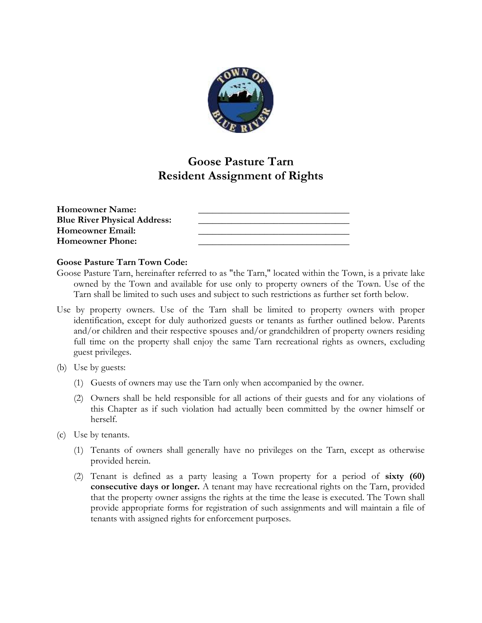

## **Goose Pasture Tarn Resident Assignment of Rights**

| <b>Homeowner Name:</b>              |  |
|-------------------------------------|--|
| <b>Blue River Physical Address:</b> |  |
| Homeowner Email:                    |  |
| <b>Homeowner Phone:</b>             |  |

## **Goose Pasture Tarn Town Code:**

- Goose Pasture Tarn, hereinafter referred to as "the Tarn," located within the Town, is a private lake owned by the Town and available for use only to property owners of the Town. Use of the Tarn shall be limited to such uses and subject to such restrictions as further set forth below.
- Use by property owners. Use of the Tarn shall be limited to property owners with proper identification, except for duly authorized guests or tenants as further outlined below. Parents and/or children and their respective spouses and/or grandchildren of property owners residing full time on the property shall enjoy the same Tarn recreational rights as owners, excluding guest privileges.
- (b) Use by guests:
	- (1) Guests of owners may use the Tarn only when accompanied by the owner.
	- (2) Owners shall be held responsible for all actions of their guests and for any violations of this Chapter as if such violation had actually been committed by the owner himself or herself.
- (c) Use by tenants.
	- (1) Tenants of owners shall generally have no privileges on the Tarn, except as otherwise provided herein.
	- (2) Tenant is defined as a party leasing a Town property for a period of **sixty (60) consecutive days or longer.** A tenant may have recreational rights on the Tarn, provided that the property owner assigns the rights at the time the lease is executed. The Town shall provide appropriate forms for registration of such assignments and will maintain a file of tenants with assigned rights for enforcement purposes.